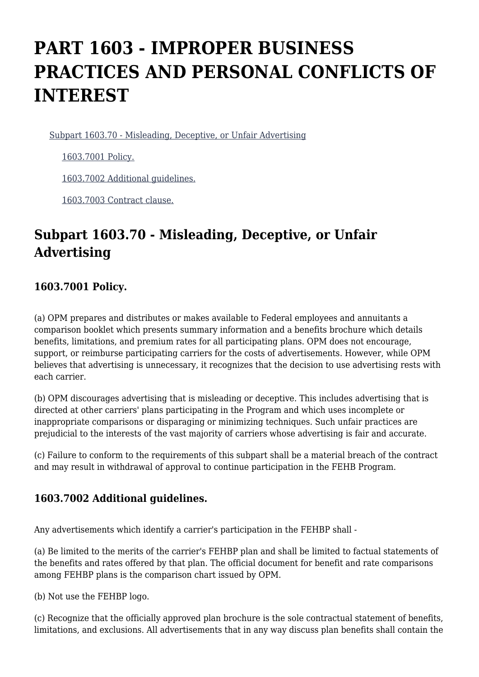# **PART 1603 - IMPROPER BUSINESS PRACTICES AND PERSONAL CONFLICTS OF INTEREST**

[Subpart 1603.70 - Misleading, Deceptive, or Unfair Advertising](https://origin-www.acquisition.gov/%5Brp:link:fehbar-part-1603%5D#Subpart_1603_70_T48_602941)

[1603.7001 Policy.](https://origin-www.acquisition.gov/%5Brp:link:fehbar-part-1603%5D#Section_1603_7001_T48_60294111)

[1603.7002 Additional guidelines.](https://origin-www.acquisition.gov/%5Brp:link:fehbar-part-1603%5D#Section_1603_7002_T48_60294112)

[1603.7003 Contract clause.](https://origin-www.acquisition.gov/%5Brp:link:fehbar-part-1603%5D#Section_1603_7003_T48_60294113)

## **Subpart 1603.70 - Misleading, Deceptive, or Unfair Advertising**

### **1603.7001 Policy.**

(a) OPM prepares and distributes or makes available to Federal employees and annuitants a comparison booklet which presents summary information and a benefits brochure which details benefits, limitations, and premium rates for all participating plans. OPM does not encourage, support, or reimburse participating carriers for the costs of advertisements. However, while OPM believes that advertising is unnecessary, it recognizes that the decision to use advertising rests with each carrier.

(b) OPM discourages advertising that is misleading or deceptive. This includes advertising that is directed at other carriers' plans participating in the Program and which uses incomplete or inappropriate comparisons or disparaging or minimizing techniques. Such unfair practices are prejudicial to the interests of the vast majority of carriers whose advertising is fair and accurate.

(c) Failure to conform to the requirements of this subpart shall be a material breach of the contract and may result in withdrawal of approval to continue participation in the FEHB Program.

### **1603.7002 Additional guidelines.**

Any advertisements which identify a carrier's participation in the FEHBP shall -

(a) Be limited to the merits of the carrier's FEHBP plan and shall be limited to factual statements of the benefits and rates offered by that plan. The official document for benefit and rate comparisons among FEHBP plans is the comparison chart issued by OPM.

(b) Not use the FEHBP logo.

(c) Recognize that the officially approved plan brochure is the sole contractual statement of benefits, limitations, and exclusions. All advertisements that in any way discuss plan benefits shall contain the